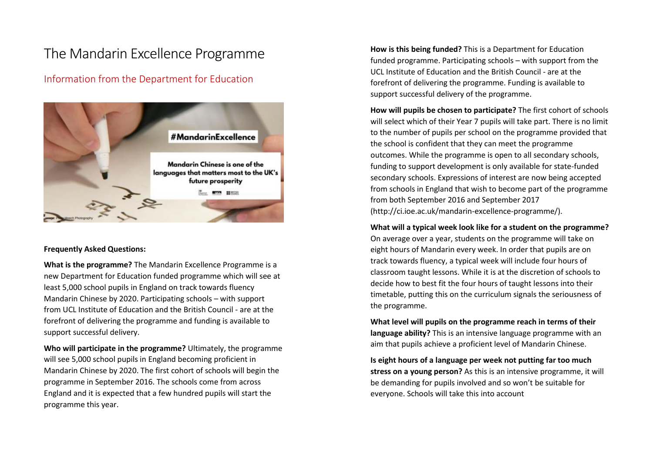# The Mandarin Excellence Programme

# Information from the Department for Education



## **Frequently Asked Questions:**

**What is the programme?** The Mandarin Excellence Programme is a new Department for Education funded programme which will see at least 5,000 school pupils in England on track towards fluency Mandarin Chinese by 2020. Participating schools – with support from UCL Institute of Education and the British Council - are at the forefront of delivering the programme and funding is available to support successful delivery.

**Who will participate in the programme?** Ultimately, the programme will see 5,000 school pupils in England becoming proficient in Mandarin Chinese by 2020. The first cohort of schools will begin the programme in September 2016. The schools come from across England and it is expected that a few hundred pupils will start the programme this year.

**How is this being funded?** This is a Department for Education funded programme. Participating schools – with support from the UCL Institute of Education and the British Council - are at the forefront of delivering the programme. Funding is available to support successful delivery of the programme.

**How will pupils be chosen to participate?** The first cohort of schools will select which of their Year 7 pupils will take part. There is no limit to the number of pupils per school on the programme provided that the school is confident that they can meet the programme outcomes. While the programme is open to all secondary schools, funding to support development is only available for state-funded secondary schools. Expressions of interest are now being accepted from schools in England that wish to become part of the programme from both September 2016 and September 2017 (http://ci.ioe.ac.uk/mandarin-excellence-programme/).

#### **What will a typical week look like for a student on the programme?**

On average over a year, students on the programme will take on eight hours of Mandarin every week. In order that pupils are on track towards fluency, a typical week will include four hours of classroom taught lessons. While it is at the discretion of schools to decide how to best fit the four hours of taught lessons into their timetable, putting this on the curriculum signals the seriousness of the programme.

**What level will pupils on the programme reach in terms of their language ability?** This is an intensive language programme with an aim that pupils achieve a proficient level of Mandarin Chinese.

**Is eight hours of a language per week not putting far too much stress on a young person?** As this is an intensive programme, it will be demanding for pupils involved and so won't be suitable for everyone. Schools will take this into account